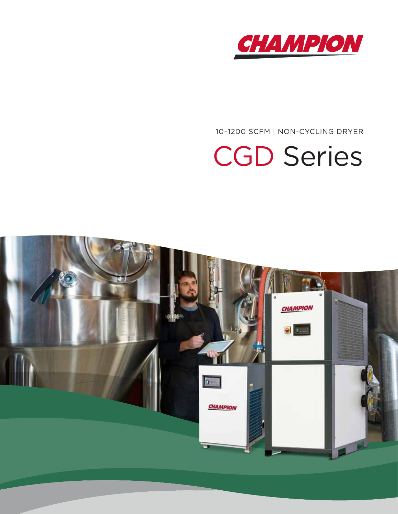

10–1200 SCFM | NON-CYCLING DRYER

# CGD Series

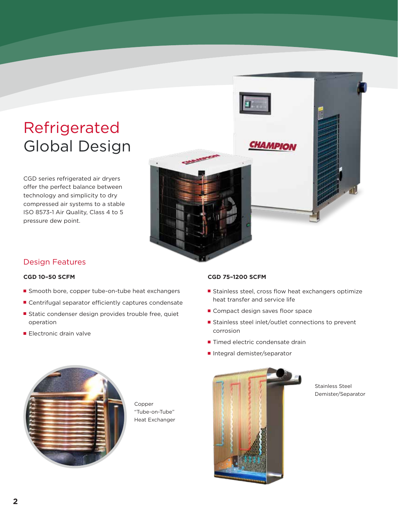### Refrigerated Global Design

CGD series refrigerated air dryers offer the perfect balance between technology and simplicity to dry compressed air systems to a stable ISO 8573-1 Air Quality, Class 4 to 5 pressure dew point.



#### Design Features

#### **CGD 10–50 SCFM**

- Smooth bore, copper tube-on-tube heat exchangers
- Centrifugal separator efficiently captures condensate
- Static condenser design provides trouble free, quiet operation
- Electronic drain valve

#### **CGD 75–1200 SCFM**

- Stainless steel, cross flow heat exchangers optimize heat transfer and service life
- Compact design saves floor space
- Stainless steel inlet/outlet connections to prevent corrosion
- Timed electric condensate drain
- Integral demister/separator



Copper "Tube-on-Tube" Heat Exchanger



Stainless Steel Demister/Separator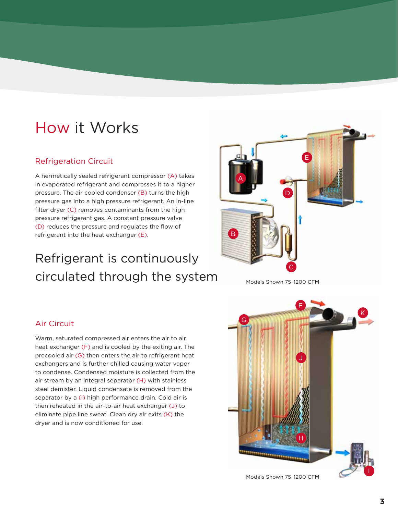### How it Works

### Refrigeration Circuit

A hermetically sealed refrigerant compressor (A) takes in evaporated refrigerant and compresses it to a higher pressure. The air cooled condenser (B) turns the high pressure gas into a high pressure refrigerant. An in-line filter dryer (C) removes contaminants from the high pressure refrigerant gas. A constant pressure valve (D) reduces the pressure and regulates the flow of refrigerant into the heat exchanger (E).

### Refrigerant is continuously  $circulated$  through the system  $\overline{C}$  Models Shown 75-1200 CFM



F

J



### Air Circuit

Warm, saturated compressed air enters the air to air heat exchanger (F) and is cooled by the exiting air. The precooled air (G) then enters the air to refrigerant heat exchangers and is further chilled causing water vapor to condense. Condensed moisture is collected from the air stream by an integral separator (H) with stainless steel demister. Liquid condensate is removed from the separator by a (I) high performance drain. Cold air is then reheated in the air-to-air heat exchanger (J) to eliminate pipe line sweat. Clean dry air exits (K) the dryer and is now conditioned for use.

Models Shown 75–1200 CFM

H

I

K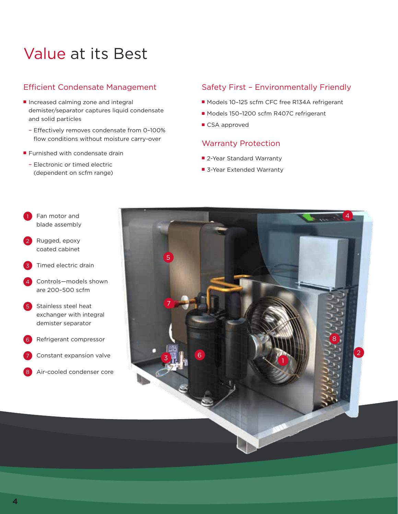### Value at its Best

### Efficient Condensate Management

- Increased calming zone and integral demister/separator captures liquid condensate and solid particles
	- Effectively removes condensate from 0–100% flow conditions without moisture carry-over
- Furnished with condensate drain
	- Electronic or timed electric (dependent on scfm range)

### Safety First – Environmentally Friendly

- Models 10-125 scfm CFC free R134A refrigerant
- Models 150-1200 scfm R407C refrigerant
- CSA approved

### Warranty Protection

- 2-Year Standard Warranty
- 3-Year Extended Warranty



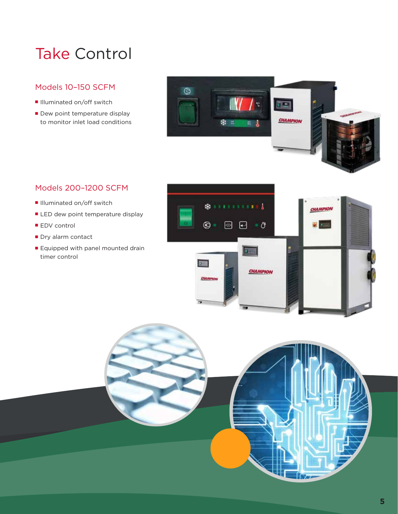### Take Control

### Models 10–150 SCFM

- Illuminated on/off switch
- Dew point temperature display to monitor inlet load conditions



### Models 200–1200 SCFM

- Illuminated on/off switch
- LED dew point temperature display
- EDV control
- Dry alarm contact
- Equipped with panel mounted drain timer control



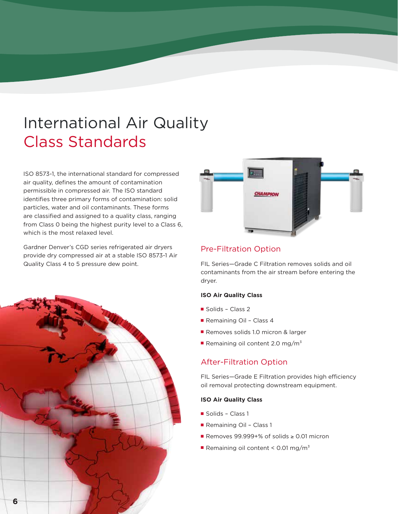### International Air Quality Class Standards

ISO 8573-1, the international standard for compressed air quality, defines the amount of contamination permissible in compressed air. The ISO standard identifies three primary forms of contamination: solid particles, water and oil contaminants. These forms are classified and assigned to a quality class, ranging from Class 0 being the highest purity level to a Class 6, which is the most relaxed level.

Gardner Denver's CGD series refrigerated air dryers provide dry compressed air at a stable ISO 8573-1 Air Quality Class 4 to 5 pressure dew point.





### Pre-Filtration Option

FIL Series—Grade C Filtration removes solids and oil contaminants from the air stream before entering the dryer.

#### **ISO Air Quality Class**

- Solids Class 2
- Remaining Oil Class 4
- Removes solids 1.0 micron & larger
- Remaining oil content 2.0 mg/m<sup>3</sup>

### After-Filtration Option

FIL Series—Grade E Filtration provides high efficiency oil removal protecting downstream equipment.

#### **ISO Air Quality Class**

- Solids Class 1
- Remaining Oil Class 1
- Removes 99.999+% of solids ≥ 0.01 micron
- Remaining oil content <  $0.01 \text{ mg/m}^3$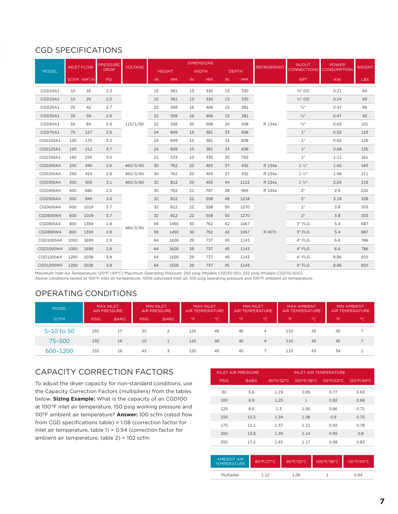### CGD SPECIFICATIONS

|              | <b>INLET FLOW</b> |                         | <b>PRESSURE</b> | <b>VOLTAGE</b>       | <b>DIMENSIONS</b> |           |              |           |              |           |                    | IN/OUT             | <b>POWER</b>       | <b>WEIGHT</b> |
|--------------|-------------------|-------------------------|-----------------|----------------------|-------------------|-----------|--------------|-----------|--------------|-----------|--------------------|--------------------|--------------------|---------------|
| <b>MODEL</b> |                   |                         | <b>DROP</b>     |                      | <b>HEIGHT</b>     |           | <b>WIDTH</b> |           | <b>DEPTH</b> |           | <b>REFRIGERANT</b> | <b>CONNECTIONS</b> | <b>CONSUMPTION</b> |               |
|              |                   | SCFM NM <sup>3</sup> /H | <b>PSI</b>      |                      | IN.               | <b>MM</b> | IN.          | <b>MM</b> | IN.          | <b>MM</b> |                    | <b>NPT</b>         | <b>KW</b>          | <b>LBS</b>    |
| CGD10A1      | 10                | 16                      | 2.3             | 115/1/60             | 15                | 381       | 13           | 330       | 13           | 330       |                    | 3/8" OD            | 0.21               | 64            |
| CGD15A1      | 15                | 25                      | 2.5             |                      | 15                | 381       | 13           | 330       | 13           | 330       |                    | 3/8" OD            | 0.24               | 69            |
| CGD25A1      | 25                | 42                      | 2.7             |                      | 22                | 558       | 16           | 406       | 15           | 381       |                    | $\frac{3}{4}$ "    | 0.47               | 88            |
| CGD35A1      | 35                | 59                      | 2.9             |                      | 22                | 558       | 16           | 406       | 15           | 381       | R 134a             | $\frac{3}{4}$ "    | 0.47               | 92            |
| CGD50A1      | 50                | 84                      | 2.9             |                      | 22                | 558       | 20           | 508       | 20           | 508       |                    | $\frac{3}{4}$ "    | 0.63               | 101           |
| CGD75A1      | 75                | 127                     | 2.5             |                      | 24                | 609       | 15           | 381       | 33           | 838       |                    | 1 <sup>n</sup>     | 0.52               | 123           |
| CGD100A1     | 100               | 170                     | 3.3             |                      | 24                | 609       | 15           | 381       | 33           | 838       |                    | 1 <sup>''</sup>    | 0.65               | 129           |
| CGD125A1     | 125               | 212                     | 3.7             |                      | 24                | 609       | 15           | 381       | 33           | 838       |                    | 1 <sup>''</sup>    | 0.68               | 135           |
| CGD150A1     | 150               | 255                     | 3.0             |                      | 21                | 533       | 13           | 330       | 30           | 762       |                    | 1"                 | 1.11               | 161           |
| CGD200A4     | 200               | 340                     | 2.6             | 460/3/60             | 30                | 762       | 20           | 493       | 37           | 932       | R 134a             | $1\frac{1}{2}$     | 1.42               | 183           |
| CGD250A4     | 250               | 424                     | 2.8             | 460/3/60<br>460/3/60 | 30                | 762       | 20           | 493       | 37           | 932       | R 134a             | $1\frac{1}{2}$     | 1.98               | 211           |
| CGD300A4     | 300               | 509                     | 3.1             |                      | 32                | 812       | 20           | 493       | 44           | 1112      | R 134a             | $1\frac{1}{2}$     | 2.05               | 219           |
| CGD400A4     | 400               | 680                     | 2.5             |                      | 30                | 762       | 21           | 787       | 38           | 965       | R 134a             | 2 <sup>n</sup>     | 2.5                | 232           |
| CGD500A4     | 500               | 849                     | 3.0             |                      | 32                | 812       | 22           | 558       | 48           | 1218      | R 407c             | 2 <sup>n</sup>     | 3.18               | 328           |
| CGD600A4     | 600               | 1019                    | 3.7             | 460/3/60             | 32                | 812       | 22           | 558       | 50           | 1270      |                    | 2 <sup>n</sup>     | 3.8                | 353           |
| CGD600W4     | 600               | 1019                    | 3.7             |                      | 32                | 812       | 22           | 558       | 50           | 1270      |                    | 2 <sup>n</sup>     | 3.8                | 353           |
| CGD800A4     | 800               | 1359                    | 2.8             |                      | 59                | 1450      | 30           | 762       | 42           | 1067      |                    | 3" FLG             | 5.4                | 687           |
| CGD800W4     | 800               | 1359                    | 2.8             |                      | 59                | 1450      | 30           | 762       | 42           | 1067      |                    | 3" FLG             | 5.4                | 687           |
| CGD1000A4    | 1000              | 1699                    | 2.9             |                      | 64                | 1626      | 29           | 737       | 45           | 1143      |                    | 4" FLG             | 6.6                | 786           |
| CGD1000W4    | 1000              | 1699                    | 2.9             |                      | 64                | 1626      | 29           | 737       | 45           | 1143      |                    | 4" FLG             | 6.6                | 786           |
| CGD1200A4    | 1200              | 2038                    | 3.9             |                      | 64                | 1626      | 29           | 737       | 45           | 1143      |                    | 4" FLG             | 8.66               | 810           |
| CGD1200W4    | 1200              | 2038                    | 3.9             |                      | 64                | 1626      | 29           | 737       | 45           | 1143      |                    | 4" FLG             | 8.66               | 810           |

Maximum Inlet Air Temperature: 120°F (49°C) Maximum Operating Pressure: 250 psig (Models CGD25–50), 232 psig (Models CGD75–500). Above conditions tested at 100°F inlet air temperature, 100% saturated inlet air, 100 psig operating pressure and 100°F ambient air temperature.

### OPERATING CONDITIONS

| <b>MODEL</b>   | <b>MAX INLET</b><br><b>AIR PRESSURE</b> |             | <b>MIN INLET</b><br><b>AIR PRESSURE</b> |             | <b>MAX INLET</b><br>AIR TEMPERATURE |              | <b>MIN INLET</b><br>AIR TEMPERATURE |                | <b>MAX AMBIENT</b><br><b>AIR TEMPERATURE</b> |     | <b>MIN AMBIENT</b><br>AIR TEMPERATURE |    |
|----------------|-----------------------------------------|-------------|-----------------------------------------|-------------|-------------------------------------|--------------|-------------------------------------|----------------|----------------------------------------------|-----|---------------------------------------|----|
| <b>SCFM</b>    | <b>PSIG</b>                             | <b>BARG</b> | <b>PSIG</b>                             | <b>BARG</b> | °F                                  | $^{\circ}$ C | °F                                  | $^{\circ}$ C   | l°F.                                         | l°C | PF.                                   | °€ |
| $5 - 10$ to 50 | 250                                     | 17          | 30                                      | 2           | 120                                 | 49           | 40                                  | 4              | 110                                          | 43  | 45                                    |    |
| 75-500         | 232                                     | 16          | 10                                      |             | 120                                 | 49           | 40                                  | $\overline{4}$ | 110                                          | 43  | 45                                    |    |
| 600-1200       | 232                                     | 16          | 43                                      | 3           | 120                                 | 49           | 45                                  |                | 110                                          | 43  | 34                                    |    |

### CAPACITY CORRECTION FACTORS

To adjust the dryer capacity for non-standard conditions, use the Capacity Correction Factors (multipliers) from the tables below. **Sizing Example:** What is the capacity of an CGD100 at 100°F inlet air temperature, 150 psig working pressure and 110°F ambient air temperature? **Answer:** 100 scfm (rated flow from CGD specifications table) × 1.08 (correction factor for inlet air temperature, table 1) × 0.94 (correction factor for ambient air temperature, table 2) = 102 scfm

|             | <b>INLET AIR PRESSURE</b> |           | INLET AIR TEMPERATURE |      |            |  |  |
|-------------|---------------------------|-----------|-----------------------|------|------------|--|--|
| <b>PSIG</b> | <b>BARG</b>               | 90°F/32°C | 100°F/38°C 110°F/43°C |      | 120°F/49°C |  |  |
| 80          | 5.6                       | 1.19      | 0.95                  | 0.77 | 0.63       |  |  |
| 100         | 6.9                       | 1.25      | $\mathbf{1}$          | 0.82 | 0.68       |  |  |
| 125         | 8.6                       | 1.3       | 1.05                  | 0.86 | 0.72       |  |  |
| 150         | 10.3                      | 1.34      | 1.08                  | 0.9  | 0.75       |  |  |
| 175         | 12.1                      | 1.37      | 1.11                  | 0.92 | 0.78       |  |  |
| 200         | 13.8                      | 1.39      | 1.14                  | 0.95 | 0.8        |  |  |
| 250         | 17.2                      | 1.43      | 1.17                  | 0.98 | 0.83       |  |  |

| <b>AMBIENT AIR</b><br><b>TEMPERATURE</b> | 80°F/27°C | $90^{\circ}$ F/32°C | $100^{\circ}$ F/38°C | $110°$ F/43°C |  |
|------------------------------------------|-----------|---------------------|----------------------|---------------|--|
| Multiplier                               |           | 1.06                |                      | በ 94          |  |